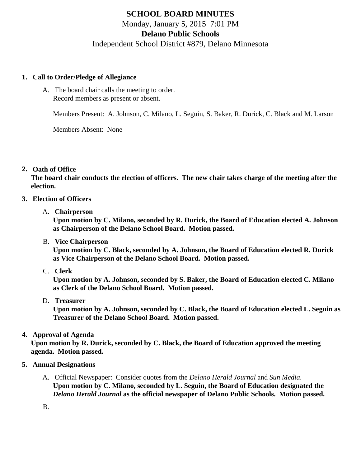# **SCHOOL BOARD MINUTES** Monday, January 5, 2015 7:01 PM **Delano Public Schools**

Independent School District #879, Delano Minnesota

# **1. Call to Order/Pledge of Allegiance**

A. The board chair calls the meeting to order. Record members as present or absent.

Members Present: A. Johnson, C. Milano, L. Seguin, S. Baker, R. Durick, C. Black and M. Larson

Members Absent: None

# **2. Oath of Office**

**The board chair conducts the election of officers. The new chair takes charge of the meeting after the election.**

# **3. Election of Officers**

A. **Chairperson**

**Upon motion by C. Milano, seconded by R. Durick, the Board of Education elected A. Johnson as Chairperson of the Delano School Board. Motion passed.**

B. **Vice Chairperson**

**Upon motion by C. Black, seconded by A. Johnson, the Board of Education elected R. Durick as Vice Chairperson of the Delano School Board. Motion passed.**

C. **Clerk**

**Upon motion by A. Johnson, seconded by S. Baker, the Board of Education elected C. Milano as Clerk of the Delano School Board. Motion passed.**

D. **Treasurer**

**Upon motion by A. Johnson, seconded by C. Black, the Board of Education elected L. Seguin as Treasurer of the Delano School Board. Motion passed.**

# **4. Approval of Agenda**

**Upon motion by R. Durick, seconded by C. Black, the Board of Education approved the meeting agenda. Motion passed.**

- **5. Annual Designations**
	- A. Official Newspaper: Consider quotes from the *Delano Herald Journal* and *Sun Media*. **Upon motion by C. Milano, seconded by L. Seguin, the Board of Education designated the**  *Delano Herald Journal* **as the official newspaper of Delano Public Schools. Motion passed.**

B.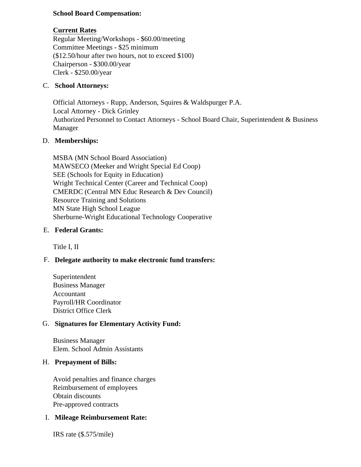# **School Board Compensation:**

# **Current Rates**

Regular Meeting/Workshops - \$60.00/meeting Committee Meetings - \$25 minimum (\$12.50/hour after two hours, not to exceed \$100) Chairperson - \$300.00/year Clerk - \$250.00/year

#### C. **School Attorneys:**

Official Attorneys - Rupp, Anderson, Squires & Waldspurger P.A. Local Attorney - Dick Grinley Authorized Personnel to Contact Attorneys - School Board Chair, Superintendent & Business Manager

# D. **Memberships:**

MSBA (MN School Board Association) MAWSECO (Meeker and Wright Special Ed Coop) SEE (Schools for Equity in Education) Wright Technical Center (Career and Technical Coop) CMERDC (Central MN Educ Research & Dev Council) Resource Training and Solutions MN State High School League Sherburne-Wright Educational Technology Cooperative

# E. **Federal Grants:**

Title I, II

# F. **Delegate authority to make electronic fund transfers:**

Superintendent Business Manager Accountant Payroll/HR Coordinator District Office Clerk

# G. **Signatures for Elementary Activity Fund:**

Business Manager Elem. School Admin Assistants

#### H. **Prepayment of Bills:**

Avoid penalties and finance charges Reimbursement of employees Obtain discounts Pre-approved contracts

#### I. **Mileage Reimbursement Rate:**

IRS rate (\$.575/mile)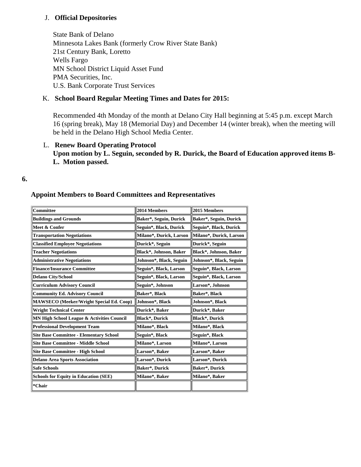# J. **Official Depositories**

State Bank of Delano Minnesota Lakes Bank (formerly Crow River State Bank) 21st Century Bank, Loretto Wells Fargo MN School District Liquid Asset Fund PMA Securities, Inc. U.S. Bank Corporate Trust Services

# K. **School Board Regular Meeting Times and Dates for 2015:**

Recommended 4th Monday of the month at Delano City Hall beginning at 5:45 p.m. except March 16 (spring break), May 18 (Memorial Day) and December 14 (winter break), when the meeting will be held in the Delano High School Media Center.

# L. **Renew Board Operating Protocol**

**Upon motion by L. Seguin, seconded by R. Durick, the Board of Education approved items B-L. Motion passed.**

**6.**

# **Appoint Members to Board Committees and Representatives**

| <b>Committee</b>                               | 2014 Members            | 2015 Members            |
|------------------------------------------------|-------------------------|-------------------------|
| <b>Buildings and Grounds</b>                   | Baker*, Seguin, Durick  | Baker*, Seguin, Durick  |
| Meet & Confer                                  | Seguin*, Black, Durick  | Seguin*, Black, Durick  |
| <b>Transportation Negotiations</b>             | Milano*, Durick, Larson | Milano*, Durick, Larson |
| <b>Classified Employee Negotiations</b>        | Durick*, Seguin         | Durick*, Seguin         |
| <b>Teacher Negotiations</b>                    | Black*, Johnson, Baker  | Black*, Johnson, Baker  |
| <b>Administrative Negotiations</b>             | Johnson*, Black, Seguin | Johnson*, Black, Seguin |
| <b>Finance/Insurance Committee</b>             | Seguin*, Black, Larson  | Seguin*, Black, Larson  |
| <b>Delano City/School</b>                      | Seguin*, Black, Larson  | Seguin*, Black, Larson  |
| <b>Curriculum Advisory Council</b>             | Seguin*, Johnson        | Larson*, Johnson        |
| <b>Community Ed. Advisory Council</b>          | Baker*, Black           | Baker*, Black           |
| MAWSECO (Meeker/Wright Special Ed. Coop)       | Johnson*, Black         | Johnson*, Black         |
| <b>Wright Technical Center</b>                 | Durick*, Baker          | Durick*, Baker          |
| MN High School League & Activities Council     | Black*, Durick          | Black*, Durick          |
| <b>Professional Development Team</b>           | Milano*, Black          | Milano*, Black          |
| <b>Site Base Committee - Elementary School</b> | Seguin*, Black          | Seguin*, Black          |
| <b>Site Base Committee - Middle School</b>     | Milano*, Larson         | Milano*, Larson         |
| <b>Site Base Committee - High School</b>       | Larson*, Baker          | Larson*, Baker          |
| <b>Delano Area Sports Association</b>          | Larson*, Durick         | Larson*, Durick         |
| <b>Safe Schools</b>                            | Baker*, Durick          | Baker*, Durick          |
| <b>Schools for Equity in Education (SEE)</b>   | Milano*, Baker          | Milano*, Baker          |
| *Chair                                         |                         |                         |